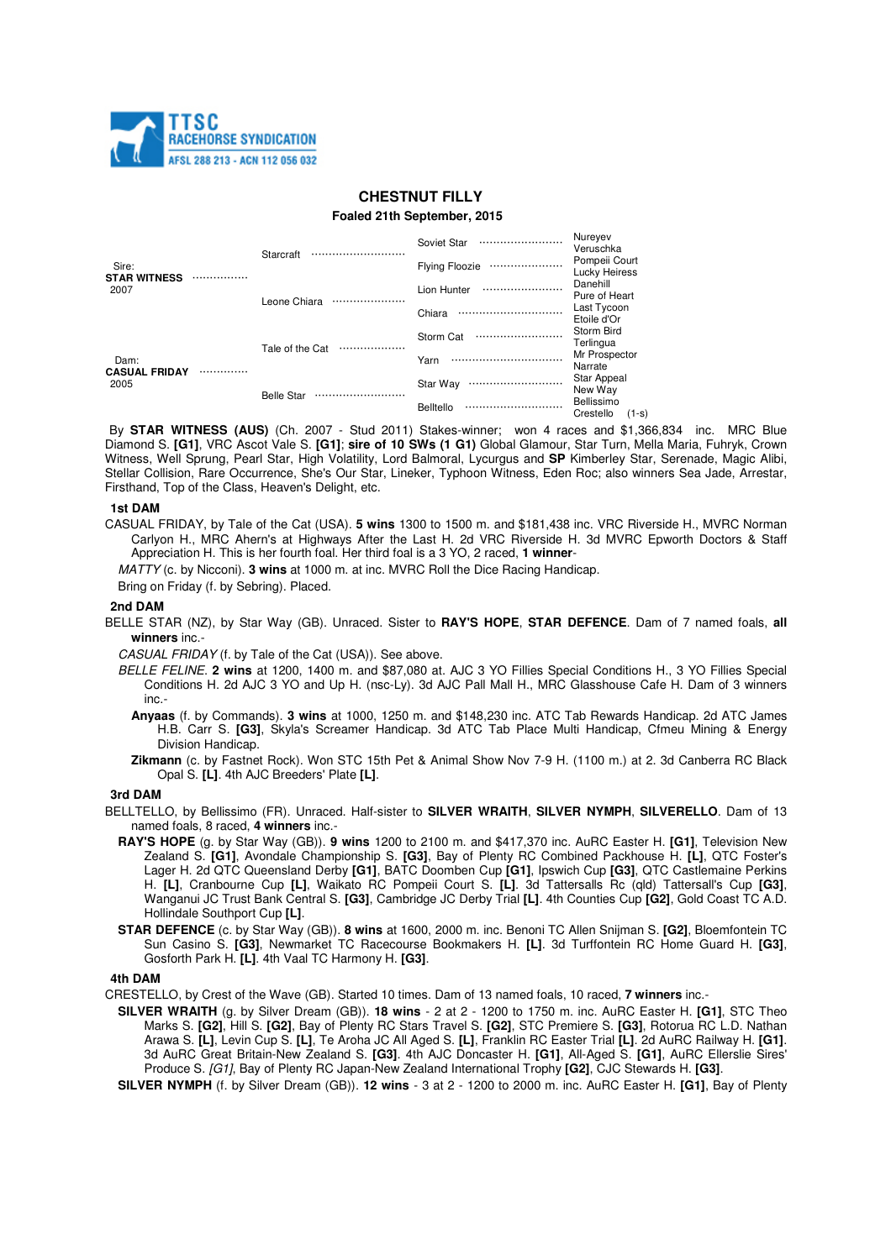

# **CHESTNUT FILLY**

#### **Foaled 21th September, 2015**

| Sire:<br><b>STAR WITNESS</b><br>2007 |  | Starcraft             | Soviet Star<br>           | Nureyev<br>Veruschka                 |
|--------------------------------------|--|-----------------------|---------------------------|--------------------------------------|
|                                      |  |                       | <b>Flying Floozie</b><br> | Pompeii Court<br>Lucky Heiress       |
|                                      |  | Leone Chiara<br>      | Lion Hunter               | Danehill<br>Pure of Heart            |
|                                      |  |                       | Chiara<br>                | Last Tycoon<br>Etoile d'Or           |
| Dam:<br><b>CASUAL FRIDAY</b><br>2005 |  | Tale of the Cat<br>   | Storm Cat<br>             | Storm Bird<br>Terlingua              |
|                                      |  |                       | Yarn<br>                  | Mr Prospector<br>Narrate             |
|                                      |  | <b>Belle Star</b><br> | Star Wav<br>              | Star Appeal<br>New Way               |
|                                      |  |                       | <b>Belltello</b><br>      | Bellissimo<br>Crestello<br>$(1 - s)$ |

By **STAR WITNESS (AUS)** (Ch. 2007 - Stud 2011) Stakes-winner; won 4 races and \$1,366,834 inc. MRC Blue Diamond S. **[G1]**, VRC Ascot Vale S. **[G1]**; **sire of 10 SWs (1 G1)** Global Glamour, Star Turn, Mella Maria, Fuhryk, Crown Witness, Well Sprung, Pearl Star, High Volatility, Lord Balmoral, Lycurgus and **SP** Kimberley Star, Serenade, Magic Alibi, Stellar Collision, Rare Occurrence, She's Our Star, Lineker, Typhoon Witness, Eden Roc; also winners Sea Jade, Arrestar, Firsthand, Top of the Class, Heaven's Delight, etc.

#### **1st DAM**

- CASUAL FRIDAY, by Tale of the Cat (USA). **5 wins** 1300 to 1500 m. and \$181,438 inc. VRC Riverside H., MVRC Norman Carlyon H., MRC Ahern's at Highways After the Last H. 2d VRC Riverside H. 3d MVRC Epworth Doctors & Staff Appreciation H. This is her fourth foal. Her third foal is a 3 YO, 2 raced, **1 winner**-
	- MATTY (c. by Nicconi). **3 wins** at 1000 m. at inc. MVRC Roll the Dice Racing Handicap.
	- Bring on Friday (f. by Sebring). Placed.

### **2nd DAM**

- BELLE STAR (NZ), by Star Way (GB). Unraced. Sister to **RAY'S HOPE**, **STAR DEFENCE**. Dam of 7 named foals, **all winners** inc.-
	- CASUAL FRIDAY (f. by Tale of the Cat (USA)). See above.
	- BELLE FELINE. **2 wins** at 1200, 1400 m. and \$87,080 at. AJC 3 YO Fillies Special Conditions H., 3 YO Fillies Special Conditions H. 2d AJC 3 YO and Up H. (nsc-Ly). 3d AJC Pall Mall H., MRC Glasshouse Cafe H. Dam of 3 winners inc.-
		- **Anyaas** (f. by Commands). **3 wins** at 1000, 1250 m. and \$148,230 inc. ATC Tab Rewards Handicap. 2d ATC James H.B. Carr S. **[G3]**, Skyla's Screamer Handicap. 3d ATC Tab Place Multi Handicap, Cfmeu Mining & Energy Division Handicap.
		- **Zikmann** (c. by Fastnet Rock). Won STC 15th Pet & Animal Show Nov 7-9 H. (1100 m.) at 2. 3d Canberra RC Black Opal S. **[L]**. 4th AJC Breeders' Plate **[L]**.

### **3rd DAM**

- BELLTELLO, by Bellissimo (FR). Unraced. Half-sister to **SILVER WRAITH**, **SILVER NYMPH**, **SILVERELLO**. Dam of 13 named foals, 8 raced, **4 winners** inc.-
	- **RAY'S HOPE** (g. by Star Way (GB)). **9 wins** 1200 to 2100 m. and \$417,370 inc. AuRC Easter H. **[G1]**, Television New Zealand S. **[G1]**, Avondale Championship S. **[G3]**, Bay of Plenty RC Combined Packhouse H. **[L]**, QTC Foster's Lager H. 2d QTC Queensland Derby **[G1]**, BATC Doomben Cup **[G1]**, Ipswich Cup **[G3]**, QTC Castlemaine Perkins H. **[L]**, Cranbourne Cup **[L]**, Waikato RC Pompeii Court S. **[L]**. 3d Tattersalls Rc (qld) Tattersall's Cup **[G3]**, Wanganui JC Trust Bank Central S. **[G3]**, Cambridge JC Derby Trial **[L]**. 4th Counties Cup **[G2]**, Gold Coast TC A.D. Hollindale Southport Cup **[L]**.
	- **STAR DEFENCE** (c. by Star Way (GB)). **8 wins** at 1600, 2000 m. inc. Benoni TC Allen Snijman S. **[G2]**, Bloemfontein TC Sun Casino S. **[G3]**, Newmarket TC Racecourse Bookmakers H. **[L]**. 3d Turffontein RC Home Guard H. **[G3]**, Gosforth Park H. **[L]**. 4th Vaal TC Harmony H. **[G3]**.

## **4th DAM**

- CRESTELLO, by Crest of the Wave (GB). Started 10 times. Dam of 13 named foals, 10 raced, **7 winners** inc.-
	- **SILVER WRAITH** (g. by Silver Dream (GB)). **18 wins**  2 at 2 1200 to 1750 m. inc. AuRC Easter H. **[G1]**, STC Theo Marks S. **[G2]**, Hill S. **[G2]**, Bay of Plenty RC Stars Travel S. **[G2]**, STC Premiere S. **[G3]**, Rotorua RC L.D. Nathan Arawa S. **[L]**, Levin Cup S. **[L]**, Te Aroha JC All Aged S. **[L]**, Franklin RC Easter Trial **[L]**. 2d AuRC Railway H. **[G1]**. 3d AuRC Great Britain-New Zealand S. **[G3]**. 4th AJC Doncaster H. **[G1]**, All-Aged S. **[G1]**, AuRC Ellerslie Sires' Produce S. [G1], Bay of Plenty RC Japan-New Zealand International Trophy **[G2]**, CJC Stewards H. **[G3]**.
	- **SILVER NYMPH** (f. by Silver Dream (GB)). **12 wins**  3 at 2 1200 to 2000 m. inc. AuRC Easter H. **[G1]**, Bay of Plenty